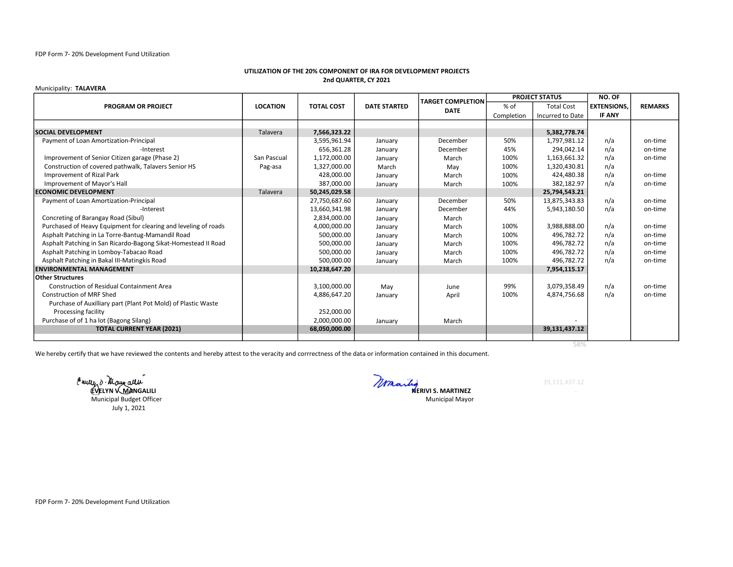## UTILIZATION OF THE 20% COMPONENT OF IRA FOR DEVELOPMENT PROJECTS 2nd QUARTER, CY 2021

## Municipality: TALAVERA

| <b>PROGRAM OR PROJECT</b>                                       | <b>LOCATION</b> | <b>TOTAL COST</b> | <b>DATE STARTED</b> | <b>TARGET COMPLETION</b><br><b>DATE</b> | <b>PROJECT STATUS</b> |                   | NO. OF             |                |
|-----------------------------------------------------------------|-----------------|-------------------|---------------------|-----------------------------------------|-----------------------|-------------------|--------------------|----------------|
|                                                                 |                 |                   |                     |                                         | $%$ of                | <b>Total Cost</b> | <b>EXTENSIONS.</b> | <b>REMARKS</b> |
|                                                                 |                 |                   |                     |                                         | Completion            | Incurred to Date  | <b>IF ANY</b>      |                |
|                                                                 |                 |                   |                     |                                         |                       |                   |                    |                |
| <b>SOCIAL DEVELOPMENT</b>                                       | Talavera        | 7,566,323.22      |                     |                                         |                       | 5,382,778.74      |                    |                |
| Payment of Loan Amortization-Principal                          |                 | 3,595,961.94      | January             | December                                | 50%                   | 1,797,981.12      | n/a                | on-time        |
| -Interest                                                       |                 | 656,361.28        | January             | December                                | 45%                   | 294.042.14        | n/a                | on-time        |
| Improvement of Senior Citizen garage (Phase 2)                  | San Pascual     | 1,172,000.00      | January             | March                                   | 100%                  | 1,163,661.32      | n/a                | on-time        |
| Construction of covered pathwalk, Talavers Senior HS            | Pag-asa         | 1,327,000.00      | March               | Mav                                     | 100%                  | 1,320,430.81      | n/a                |                |
| Improvement of Rizal Park                                       |                 | 428,000.00        | January             | March                                   | 100%                  | 424,480.38        | n/a                | on-time        |
| Improvement of Mayor's Hall                                     |                 | 387,000.00        | January             | March                                   | 100%                  | 382,182.97        | n/a                | on-time        |
| <b>ECONOMIC DEVELOPMENT</b>                                     | Talavera        | 50,245,029.58     |                     |                                         |                       | 25,794,543.21     |                    |                |
| Payment of Loan Amortization-Principal                          |                 | 27,750,687.60     | January             | December                                | 50%                   | 13.875.343.83     | n/a                | on-time        |
| -Interest                                                       |                 | 13,660,341.98     | January             | December                                | 44%                   | 5,943,180.50      | n/a                | on-time        |
| Concreting of Barangay Road (Sibul)                             |                 | 2,834,000.00      | January             | March                                   |                       |                   |                    |                |
| Purchased of Heavy Equipment for clearing and leveling of roads |                 | 4,000,000.00      | January             | March                                   | 100%                  | 3,988,888.00      | n/a                | on-time        |
| Asphalt Patching in La Torre-Bantug-Mamandil Road               |                 | 500,000.00        | January             | March                                   | 100%                  | 496,782.72        | n/a                | on-time        |
| Asphalt Patching in San Ricardo-Bagong Sikat-Homestead II Road  |                 | 500,000.00        | January             | March                                   | 100%                  | 496,782.72        | n/a                | on-time        |
| Asphalt Patching in Lomboy-Tabacao Road                         |                 | 500,000.00        | January             | March                                   | 100%                  | 496,782.72        | n/a                | on-time        |
| Asphalt Patching in Bakal III-Matingkis Road                    |                 | 500,000.00        | January             | March                                   | 100%                  | 496,782.72        | n/a                | on-time        |
| <b>ENVIRONMENTAL MANAGEMENT</b>                                 |                 | 10,238,647.20     |                     |                                         |                       | 7,954,115.17      |                    |                |
| Other Structures                                                |                 |                   |                     |                                         |                       |                   |                    |                |
| <b>Construction of Residual Containment Area</b>                |                 | 3,100,000.00      | May                 | June                                    | 99%                   | 3,079,358.49      | n/a                | on-time        |
| <b>Construction of MRF Shed</b>                                 |                 | 4,886,647.20      | January             | April                                   | 100%                  | 4,874,756.68      | n/a                | on-time        |
| Purchase of Auxilliary part (Plant Pot Mold) of Plastic Waste   |                 |                   |                     |                                         |                       |                   |                    |                |
| Processing facility                                             |                 | 252,000.00        |                     |                                         |                       |                   |                    |                |
| Purchase of of 1 ha lot (Bagong Silang)                         |                 | 2,000,000.00      | January             | March                                   |                       |                   |                    |                |
| <b>TOTAL CURRENT YEAR (2021)</b>                                |                 | 68,050,000.00     |                     |                                         |                       | 39,131,437.12     |                    |                |
|                                                                 |                 |                   |                     |                                         |                       |                   |                    |                |

58%

We hereby certify that we have reviewed the contents and hereby attest to the veracity and corrrectness of the data or information contained in this document.

Eurly d'Ulaur allu<br>EVELYN KMANGALILI COMPARENT S. MARTINEZ Municipal Budget Officer July 1, 2021

Municipal Mayor

FDP Form 7- 20% Development Fund Utilization